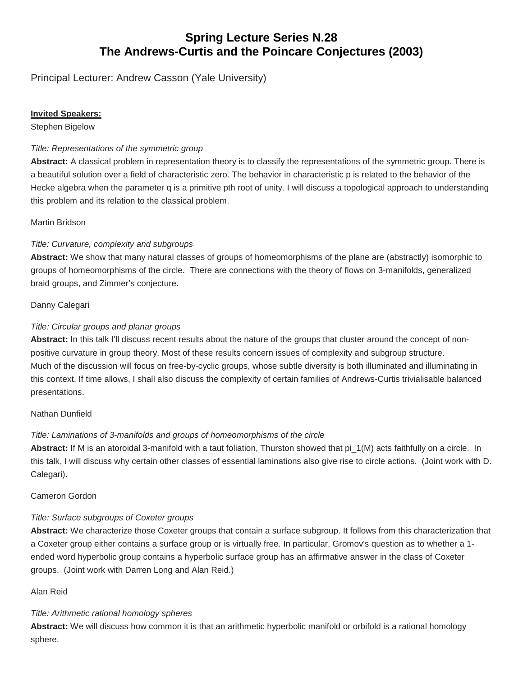# **Spring Lecture Series N.28 The Andrews-Curtis and the Poincare Conjectures (2003)**

Principal Lecturer: Andrew Casson (Yale University)

## **Invited Speakers:**

Stephen Bigelow

## *Title: Representations of the symmetric group*

**Abstract:** A classical problem in representation theory is to classify the representations of the symmetric group. There is a beautiful solution over a field of characteristic zero. The behavior in characteristic p is related to the behavior of the Hecke algebra when the parameter q is a primitive pth root of unity. I will discuss a topological approach to understanding this problem and its relation to the classical problem.

#### Martin Bridson

#### *Title: Curvature, complexity and subgroups*

**Abstract:** We show that many natural classes of groups of homeomorphisms of the plane are (abstractly) isomorphic to groups of homeomorphisms of the circle. There are connections with the theory of flows on 3-manifolds, generalized braid groups, and Zimmer's conjecture.

#### Danny Calegari

#### *Title: Circular groups and planar groups*

**Abstract:** In this talk I'll discuss recent results about the nature of the groups that cluster around the concept of nonpositive curvature in group theory. Most of these results concern issues of complexity and subgroup structure. Much of the discussion will focus on free-by-cyclic groups, whose subtle diversity is both illuminated and illuminating in this context. If time allows, I shall also discuss the complexity of certain families of Andrews-Curtis trivialisable balanced presentations.

## Nathan Dunfield

## *Title: Laminations of 3-manifolds and groups of homeomorphisms of the circle*

**Abstract:** If M is an atoroidal 3-manifold with a taut foliation, Thurston showed that pi\_1(M) acts faithfully on a circle. In this talk, I will discuss why certain other classes of essential laminations also give rise to circle actions. (Joint work with D. Calegari).

#### Cameron Gordon

## *Title: Surface subgroups of Coxeter groups*

**Abstract:** We characterize those Coxeter groups that contain a surface subgroup. It follows from this characterization that a Coxeter group either contains a surface group or is virtually free. In particular, Gromov's question as to whether a 1 ended word hyperbolic group contains a hyperbolic surface group has an affirmative answer in the class of Coxeter groups. (Joint work with Darren Long and Alan Reid.)

#### Alan Reid

## *Title: Arithmetic rational homology spheres*

**Abstract:** We will discuss how common it is that an arithmetic hyperbolic manifold or orbifold is a rational homology sphere.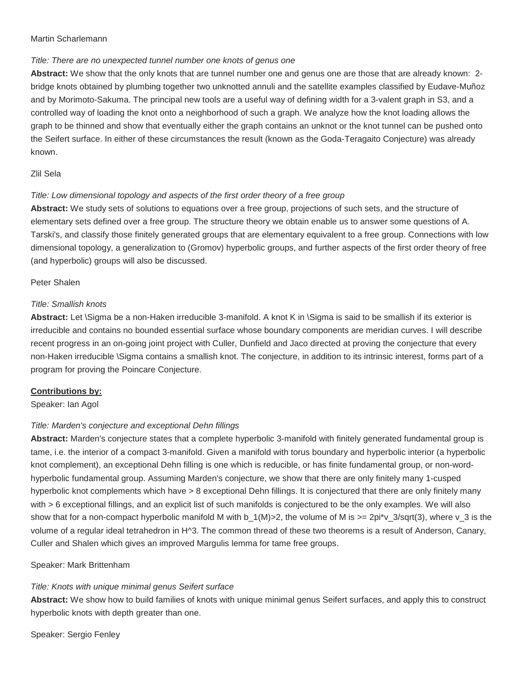#### Martin Scharlemann

#### *Title: There are no unexpected tunnel number one knots of genus one*

**Abstract:** We show that the only knots that are tunnel number one and genus one are those that are already known: 2 bridge knots obtained by plumbing together two unknotted annuli and the satellite examples classified by Eudave-Muñoz and by Morimoto-Sakuma. The principal new tools are a useful way of defining width for a 3-valent graph in S3, and a controlled way of loading the knot onto a neighborhood of such a graph. We analyze how the knot loading allows the graph to be thinned and show that eventually either the graph contains an unknot or the knot tunnel can be pushed onto the Seifert surface. In either of these circumstances the result (known as the Goda-Teragaito Conjecture) was already known.

## Zlil Sela

## *Title: Low dimensional topology and aspects of the first order theory of a free group*

**Abstract:** We study sets of solutions to equations over a free group, projections of such sets, and the structure of elementary sets defined over a free group. The structure theory we obtain enable us to answer some questions of A. Tarski's, and classify those finitely generated groups that are elementary equivalent to a free group. Connections with low dimensional topology, a generalization to (Gromov) hyperbolic groups, and further aspects of the first order theory of free (and hyperbolic) groups will also be discussed.

#### Peter Shalen

#### *Title: Smallish knots*

**Abstract:** Let \Sigma be a non-Haken irreducible 3-manifold. A knot K in \Sigma is said to be smallish if its exterior is irreducible and contains no bounded essential surface whose boundary components are meridian curves. I will describe recent progress in an on-going joint project with Culler, Dunfield and Jaco directed at proving the conjecture that every non-Haken irreducible \Sigma contains a smallish knot. The conjecture, in addition to its intrinsic interest, forms part of a program for proving the Poincare Conjecture.

## **Contributions by:**

Speaker: Ian Agol

## *Title: Marden's conjecture and exceptional Dehn fillings*

**Abstract:** Marden's conjecture states that a complete hyperbolic 3-manifold with finitely generated fundamental group is tame, i.e. the interior of a compact 3-manifold. Given a manifold with torus boundary and hyperbolic interior (a hyperbolic knot complement), an exceptional Dehn filling is one which is reducible, or has finite fundamental group, or non-wordhyperbolic fundamental group. Assuming Marden's conjecture, we show that there are only finitely many 1-cusped hyperbolic knot complements which have > 8 exceptional Dehn fillings. It is conjectured that there are only finitely many with > 6 exceptional fillings, and an explicit list of such manifolds is conjectured to be the only examples. We will also show that for a non-compact hyperbolic manifold M with b\_1(M)>2, the volume of M is >= 2pi\*v\_3/sqrt(3), where v\_3 is the volume of a regular ideal tetrahedron in H^3. The common thread of these two theorems is a result of Anderson, Canary, Culler and Shalen which gives an improved Margulis lemma for tame free groups.

## Speaker: Mark Brittenham

## *Title: Knots with unique minimal genus Seifert surface*

**Abstract:** We show how to build families of knots with unique minimal genus Seifert surfaces, and apply this to construct hyperbolic knots with depth greater than one.

Speaker: Sergio Fenley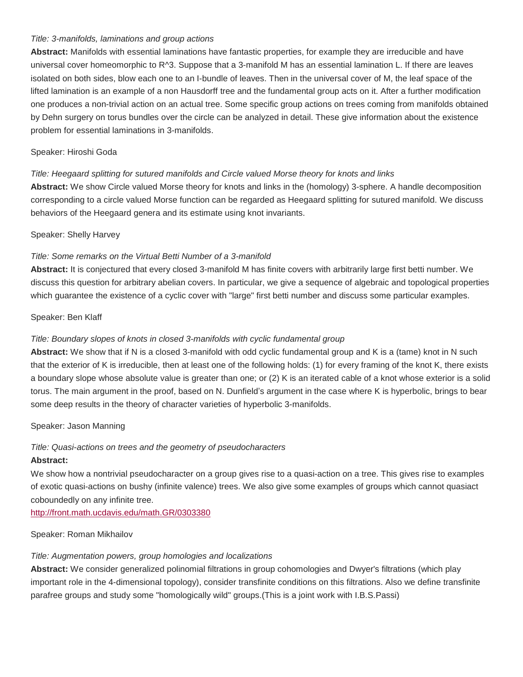#### *Title: 3-manifolds, laminations and group actions*

**Abstract:** Manifolds with essential laminations have fantastic properties, for example they are irreducible and have universal cover homeomorphic to R^3. Suppose that a 3-manifold M has an essential lamination L. If there are leaves isolated on both sides, blow each one to an I-bundle of leaves. Then in the universal cover of M, the leaf space of the lifted lamination is an example of a non Hausdorff tree and the fundamental group acts on it. After a further modification one produces a non-trivial action on an actual tree. Some specific group actions on trees coming from manifolds obtained by Dehn surgery on torus bundles over the circle can be analyzed in detail. These give information about the existence problem for essential laminations in 3-manifolds.

## Speaker: Hiroshi Goda

## *Title: Heegaard splitting for sutured manifolds and Circle valued Morse theory for knots and links*

**Abstract:** We show Circle valued Morse theory for knots and links in the (homology) 3-sphere. A handle decomposition corresponding to a circle valued Morse function can be regarded as Heegaard splitting for sutured manifold. We discuss behaviors of the Heegaard genera and its estimate using knot invariants.

#### Speaker: Shelly Harvey

## *Title: Some remarks on the Virtual Betti Number of a 3-manifold*

**Abstract:** It is conjectured that every closed 3-manifold M has finite covers with arbitrarily large first betti number. We discuss this question for arbitrary abelian covers. In particular, we give a sequence of algebraic and topological properties which guarantee the existence of a cyclic cover with "large" first betti number and discuss some particular examples.

#### Speaker: Ben Klaff

## *Title: Boundary slopes of knots in closed 3-manifolds with cyclic fundamental group*

**Abstract:** We show that if N is a closed 3-manifold with odd cyclic fundamental group and K is a (tame) knot in N such that the exterior of K is irreducible, then at least one of the following holds: (1) for every framing of the knot K, there exists a boundary slope whose absolute value is greater than one; or (2) K is an iterated cable of a knot whose exterior is a solid torus. The main argument in the proof, based on N. Dunfield's argument in the case where K is hyperbolic, brings to bear some deep results in the theory of character varieties of hyperbolic 3-manifolds.

#### Speaker: Jason Manning

## *Title: Quasi-actions on trees and the geometry of pseudocharacters*

#### **Abstract:**

We show how a nontrivial pseudocharacter on a group gives rise to a quasi-action on a tree. This gives rise to examples of exotic quasi-actions on bushy (infinite valence) trees. We also give some examples of groups which cannot quasiact coboundedly on any infinite tree.

<http://front.math.ucdavis.edu/math.GR/0303380>

#### Speaker: Roman Mikhailov

## *Title: Augmentation powers, group homologies and localizations*

**Abstract:** We consider generalized polinomial filtrations in group cohomologies and Dwyer's filtrations (which play important role in the 4-dimensional topology), consider transfinite conditions on this filtrations. Also we define transfinite parafree groups and study some "homologically wild" groups.(This is a joint work with I.B.S.Passi)